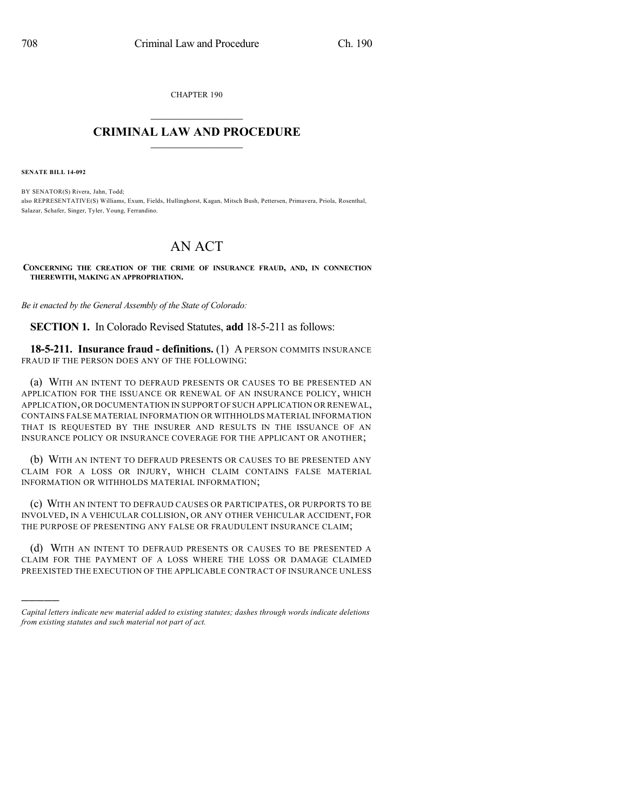CHAPTER 190

## $\overline{\phantom{a}}$  . The set of the set of the set of the set of the set of the set of the set of the set of the set of the set of the set of the set of the set of the set of the set of the set of the set of the set of the set o **CRIMINAL LAW AND PROCEDURE**  $\frac{1}{2}$  ,  $\frac{1}{2}$  ,  $\frac{1}{2}$  ,  $\frac{1}{2}$  ,  $\frac{1}{2}$  ,  $\frac{1}{2}$  ,  $\frac{1}{2}$

**SENATE BILL 14-092**

)))))

BY SENATOR(S) Rivera, Jahn, Todd; also REPRESENTATIVE(S) Williams, Exum, Fields, Hullinghorst, Kagan, Mitsch Bush, Pettersen, Primavera, Priola, Rosenthal, Salazar, Schafer, Singer, Tyler, Young, Ferrandino.

## AN ACT

**CONCERNING THE CREATION OF THE CRIME OF INSURANCE FRAUD, AND, IN CONNECTION THEREWITH, MAKING AN APPROPRIATION.**

*Be it enacted by the General Assembly of the State of Colorado:*

**SECTION 1.** In Colorado Revised Statutes, **add** 18-5-211 as follows:

**18-5-211. Insurance fraud - definitions.** (1) A PERSON COMMITS INSURANCE FRAUD IF THE PERSON DOES ANY OF THE FOLLOWING:

(a) WITH AN INTENT TO DEFRAUD PRESENTS OR CAUSES TO BE PRESENTED AN APPLICATION FOR THE ISSUANCE OR RENEWAL OF AN INSURANCE POLICY, WHICH APPLICATION,OR DOCUMENTATION IN SUPPORT OF SUCH APPLICATION OR RENEWAL, CONTAINS FALSE MATERIAL INFORMATION OR WITHHOLDS MATERIAL INFORMATION THAT IS REQUESTED BY THE INSURER AND RESULTS IN THE ISSUANCE OF AN INSURANCE POLICY OR INSURANCE COVERAGE FOR THE APPLICANT OR ANOTHER;

(b) WITH AN INTENT TO DEFRAUD PRESENTS OR CAUSES TO BE PRESENTED ANY CLAIM FOR A LOSS OR INJURY, WHICH CLAIM CONTAINS FALSE MATERIAL INFORMATION OR WITHHOLDS MATERIAL INFORMATION;

(c) WITH AN INTENT TO DEFRAUD CAUSES OR PARTICIPATES, OR PURPORTS TO BE INVOLVED, IN A VEHICULAR COLLISION, OR ANY OTHER VEHICULAR ACCIDENT, FOR THE PURPOSE OF PRESENTING ANY FALSE OR FRAUDULENT INSURANCE CLAIM;

(d) WITH AN INTENT TO DEFRAUD PRESENTS OR CAUSES TO BE PRESENTED A CLAIM FOR THE PAYMENT OF A LOSS WHERE THE LOSS OR DAMAGE CLAIMED PREEXISTED THE EXECUTION OF THE APPLICABLE CONTRACT OF INSURANCE UNLESS

*Capital letters indicate new material added to existing statutes; dashes through words indicate deletions from existing statutes and such material not part of act.*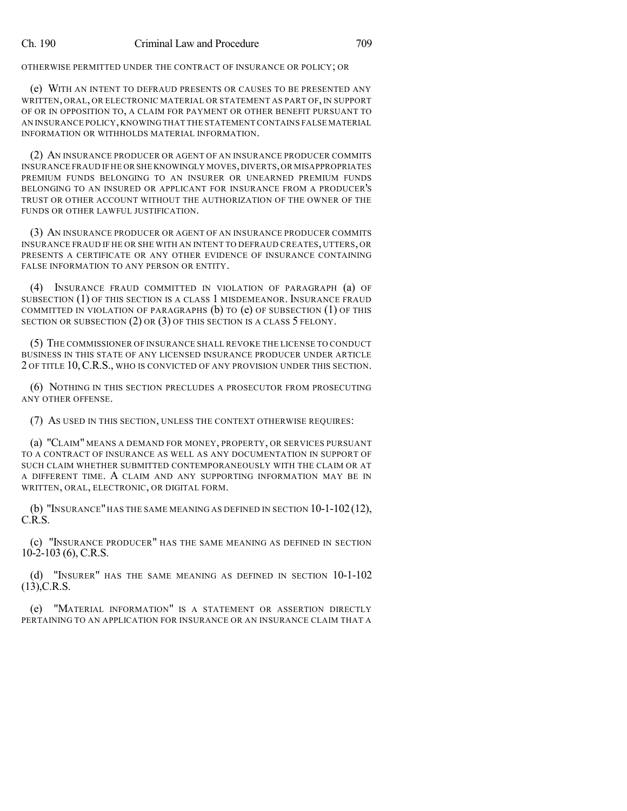OTHERWISE PERMITTED UNDER THE CONTRACT OF INSURANCE OR POLICY; OR

(e) WITH AN INTENT TO DEFRAUD PRESENTS OR CAUSES TO BE PRESENTED ANY WRITTEN, ORAL, OR ELECTRONIC MATERIAL OR STATEMENT AS PART OF, IN SUPPORT OF OR IN OPPOSITION TO, A CLAIM FOR PAYMENT OR OTHER BENEFIT PURSUANT TO AN INSURANCE POLICY,KNOWINGTHAT THE STATEMENT CONTAINS FALSE MATERIAL INFORMATION OR WITHHOLDS MATERIAL INFORMATION.

(2) AN INSURANCE PRODUCER OR AGENT OF AN INSURANCE PRODUCER COMMITS INSURANCE FRAUD IF HE OR SHE KNOWINGLY MOVES,DIVERTS,OR MISAPPROPRIATES PREMIUM FUNDS BELONGING TO AN INSURER OR UNEARNED PREMIUM FUNDS BELONGING TO AN INSURED OR APPLICANT FOR INSURANCE FROM A PRODUCER'S TRUST OR OTHER ACCOUNT WITHOUT THE AUTHORIZATION OF THE OWNER OF THE FUNDS OR OTHER LAWFUL JUSTIFICATION.

(3) AN INSURANCE PRODUCER OR AGENT OF AN INSURANCE PRODUCER COMMITS INSURANCE FRAUD IF HE OR SHE WITH AN INTENT TO DEFRAUD CREATES, UTTERS, OR PRESENTS A CERTIFICATE OR ANY OTHER EVIDENCE OF INSURANCE CONTAINING FALSE INFORMATION TO ANY PERSON OR ENTITY.

(4) INSURANCE FRAUD COMMITTED IN VIOLATION OF PARAGRAPH (a) OF SUBSECTION (1) OF THIS SECTION IS A CLASS 1 MISDEMEANOR. INSURANCE FRAUD COMMITTED IN VIOLATION OF PARAGRAPHS  $(b)$  to  $(e)$  of subsection  $(1)$  of this SECTION OR SUBSECTION  $(2)$  OR  $(3)$  OF THIS SECTION IS A CLASS 5 FELONY.

(5) THE COMMISSIONER OF INSURANCE SHALL REVOKE THE LICENSE TO CONDUCT BUSINESS IN THIS STATE OF ANY LICENSED INSURANCE PRODUCER UNDER ARTICLE 2 OF TITLE 10,C.R.S., WHO IS CONVICTED OF ANY PROVISION UNDER THIS SECTION.

(6) NOTHING IN THIS SECTION PRECLUDES A PROSECUTOR FROM PROSECUTING ANY OTHER OFFENSE.

(7) AS USED IN THIS SECTION, UNLESS THE CONTEXT OTHERWISE REQUIRES:

(a) "CLAIM" MEANS A DEMAND FOR MONEY, PROPERTY, OR SERVICES PURSUANT TO A CONTRACT OF INSURANCE AS WELL AS ANY DOCUMENTATION IN SUPPORT OF SUCH CLAIM WHETHER SUBMITTED CONTEMPORANEOUSLY WITH THE CLAIM OR AT A DIFFERENT TIME. A CLAIM AND ANY SUPPORTING INFORMATION MAY BE IN WRITTEN, ORAL, ELECTRONIC, OR DIGITAL FORM.

(b) "INSURANCE" HAS THE SAME MEANING AS DEFINED IN SECTION  $10-1-102(12)$ , C.R.S.

(c) "INSURANCE PRODUCER" HAS THE SAME MEANING AS DEFINED IN SECTION 10-2-103 (6), C.R.S.

(d) "INSURER" HAS THE SAME MEANING AS DEFINED IN SECTION 10-1-102 (13),C.R.S.

(e) "MATERIAL INFORMATION" IS A STATEMENT OR ASSERTION DIRECTLY PERTAINING TO AN APPLICATION FOR INSURANCE OR AN INSURANCE CLAIM THAT A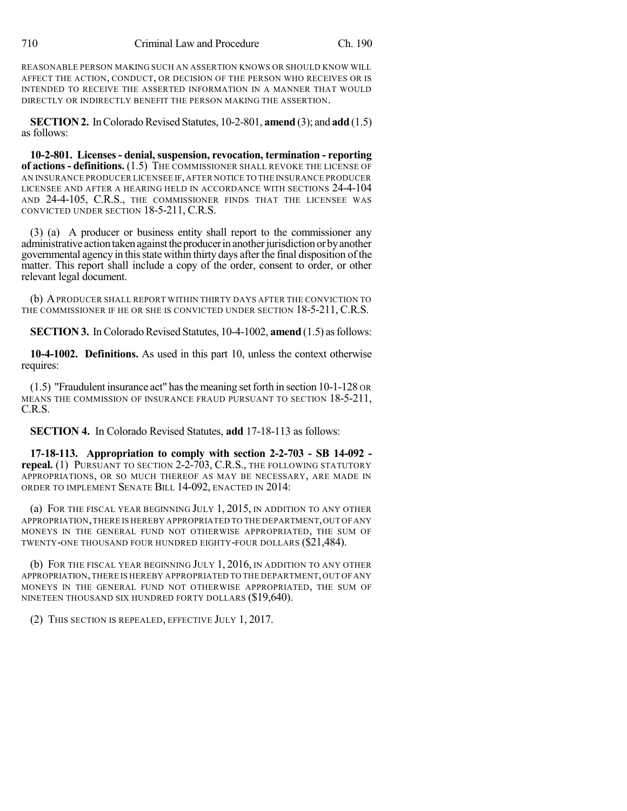REASONABLE PERSON MAKING SUCH AN ASSERTION KNOWS OR SHOULD KNOW WILL AFFECT THE ACTION, CONDUCT, OR DECISION OF THE PERSON WHO RECEIVES OR IS INTENDED TO RECEIVE THE ASSERTED INFORMATION IN A MANNER THAT WOULD DIRECTLY OR INDIRECTLY BENEFIT THE PERSON MAKING THE ASSERTION.

**SECTION 2.** In Colorado Revised Statutes, 10-2-801, **amend** (3); and **add** (1.5) as follows:

**10-2-801. Licenses- denial, suspension, revocation, termination - reporting of actions- definitions.** (1.5) THE COMMISSIONER SHALL REVOKE THE LICENSE OF AN INSURANCE PRODUCER LICENSEE IF,AFTER NOTICE TO THE INSURANCE PRODUCER LICENSEE AND AFTER A HEARING HELD IN ACCORDANCE WITH SECTIONS 24-4-104 AND 24-4-105, C.R.S., THE COMMISSIONER FINDS THAT THE LICENSEE WAS CONVICTED UNDER SECTION 18-5-211, C.R.S.

(3) (a) A producer or business entity shall report to the commissioner any administrative action taken against the producer in another jurisdiction or by another governmental agency in thisstate within thirty days after the final disposition of the matter. This report shall include a copy of the order, consent to order, or other relevant legal document.

(b) APRODUCER SHALL REPORT WITHIN THIRTY DAYS AFTER THE CONVICTION TO THE COMMISSIONER IF HE OR SHE IS CONVICTED UNDER SECTION 18-5-211, C.R.S.

**SECTION 3.** In Colorado Revised Statutes, 10-4-1002, **amend** (1.5) as follows:

**10-4-1002. Definitions.** As used in this part 10, unless the context otherwise requires:

 $(1.5)$  "Fraudulent insurance act" has the meaning set forth in section 10-1-128 OR MEANS THE COMMISSION OF INSURANCE FRAUD PURSUANT TO SECTION 18-5-211, C.R.S.

**SECTION 4.** In Colorado Revised Statutes, **add** 17-18-113 as follows:

**17-18-113. Appropriation to comply with section 2-2-703 - SB 14-092 repeal.** (1) PURSUANT TO SECTION 2-2-703, C.R.S., THE FOLLOWING STATUTORY APPROPRIATIONS, OR SO MUCH THEREOF AS MAY BE NECESSARY, ARE MADE IN ORDER TO IMPLEMENT SENATE BILL 14-092, ENACTED IN 2014:

(a) FOR THE FISCAL YEAR BEGINNING JULY 1, 2015, IN ADDITION TO ANY OTHER APPROPRIATION,THERE IS HEREBY APPROPRIATED TO THE DEPARTMENT,OUT OFANY MONEYS IN THE GENERAL FUND NOT OTHERWISE APPROPRIATED, THE SUM OF TWENTY-ONE THOUSAND FOUR HUNDRED EIGHTY-FOUR DOLLARS (\$21,484).

(b) FOR THE FISCAL YEAR BEGINNING JULY 1, 2016, IN ADDITION TO ANY OTHER APPROPRIATION,THERE IS HEREBY APPROPRIATED TO THE DEPARTMENT,OUT OFANY MONEYS IN THE GENERAL FUND NOT OTHERWISE APPROPRIATED, THE SUM OF NINETEEN THOUSAND SIX HUNDRED FORTY DOLLARS (\$19,640).

(2) THIS SECTION IS REPEALED, EFFECTIVE JULY 1, 2017.